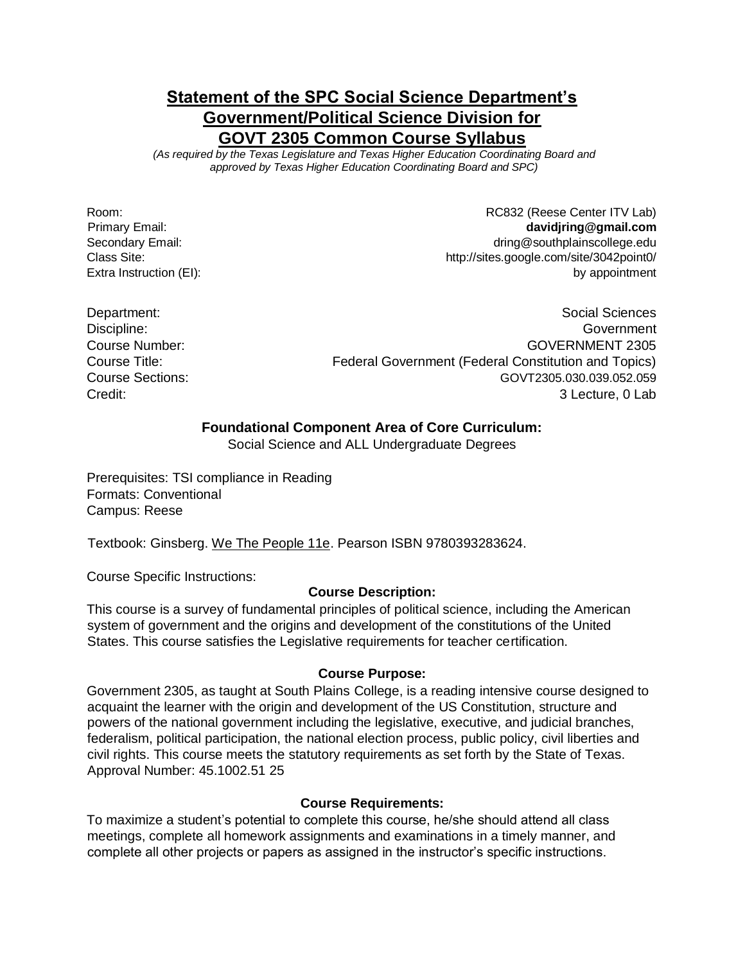# **Statement of the SPC Social Science Department's Government/Political Science Division for GOVT 2305 Common Course Syllabus**

*(As required by the Texas Legislature and Texas Higher Education Coordinating Board and approved by Texas Higher Education Coordinating Board and SPC)* 

Room: Room: ROOM: ROOM: ROOM: ROOM: ROOM: ROOM: ROOM: ROOM: ROOM: ROOM: ROOM: ROOM: ROOM: ROOM: ROOM: ROOM: ROOM: ROOM: ROOM: ROOM: ROOM: ROOM: ROOM: ROOM: ROOM: ROOM: ROOM: ROOM: ROOM: ROOM: ROOM: ROOM: ROOM: ROOM: ROOM: Primary Email: **davidjring@gmail.com**  Secondary Email: dring@southplainscollege.edu Class Site: http://sites.google.com/site/3042point0/ Extra Instruction (EI): by appointment

Department: Social Sciences Discipline: Government Course Number: GOVERNMENT 2305 Course Title: Federal Government (Federal Constitution and Topics) Course Sections: GOVT2305.030.039.052.059 Credit: 3 Lecture, 0 Lab

### **Foundational Component Area of Core Curriculum:**

Social Science and ALL Undergraduate Degrees

Prerequisites: TSI compliance in Reading Formats: Conventional Campus: Reese

Textbook: Ginsberg. We The People 11e. Pearson ISBN 9780393283624.

Course Specific Instructions:

#### **Course Description:**

This course is a survey of fundamental principles of political science, including the American system of government and the origins and development of the constitutions of the United States. This course satisfies the Legislative requirements for teacher certification.

#### **Course Purpose:**

Government 2305, as taught at South Plains College, is a reading intensive course designed to acquaint the learner with the origin and development of the US Constitution, structure and powers of the national government including the legislative, executive, and judicial branches, federalism, political participation, the national election process, public policy, civil liberties and civil rights. This course meets the statutory requirements as set forth by the State of Texas. Approval Number: 45.1002.51 25

#### **Course Requirements:**

To maximize a student's potential to complete this course, he/she should attend all class meetings, complete all homework assignments and examinations in a timely manner, and complete all other projects or papers as assigned in the instructor's specific instructions.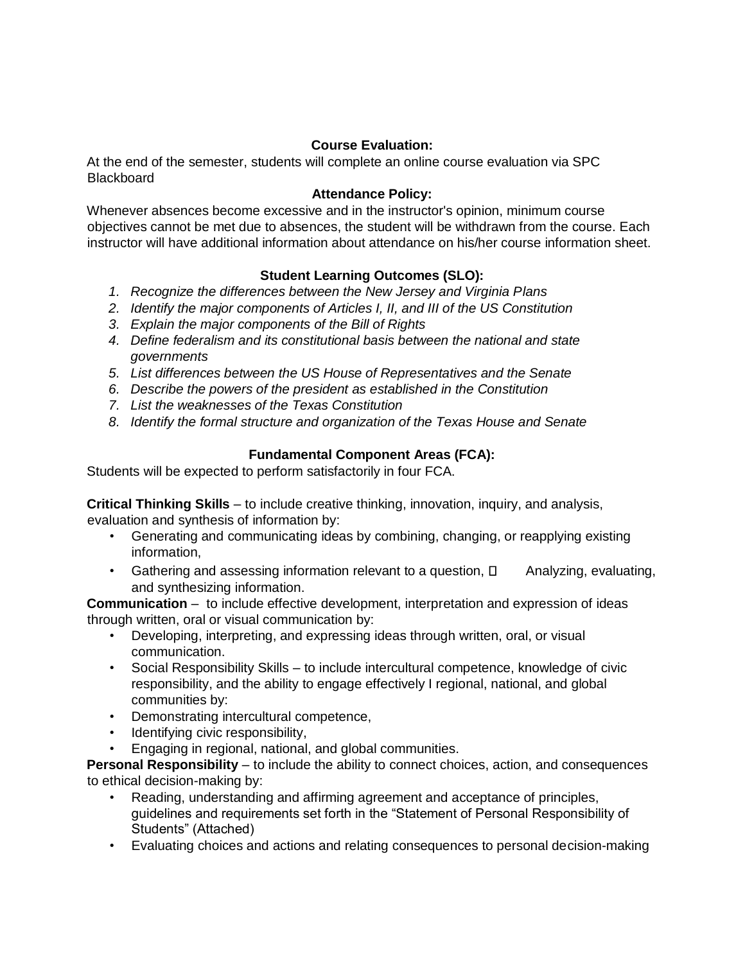### **Course Evaluation:**

At the end of the semester, students will complete an online course evaluation via SPC **Blackboard** 

# **Attendance Policy:**

Whenever absences become excessive and in the instructor's opinion, minimum course objectives cannot be met due to absences, the student will be withdrawn from the course. Each instructor will have additional information about attendance on his/her course information sheet.

# **Student Learning Outcomes (SLO):**

- *1. Recognize the differences between the New Jersey and Virginia Plans*
- *2. Identify the major components of Articles I, II, and III of the US Constitution*
- *3. Explain the major components of the Bill of Rights*
- *4. Define federalism and its constitutional basis between the national and state governments*
- *5. List differences between the US House of Representatives and the Senate*
- *6. Describe the powers of the president as established in the Constitution*
- *7. List the weaknesses of the Texas Constitution*
- *8. Identify the formal structure and organization of the Texas House and Senate*

# **Fundamental Component Areas (FCA):**

Students will be expected to perform satisfactorily in four FCA.

**Critical Thinking Skills** – to include creative thinking, innovation, inquiry, and analysis, evaluation and synthesis of information by:

- Generating and communicating ideas by combining, changing, or reapplying existing information,
- Gathering and assessing information relevant to a question,  $\Box$  Analyzing, evaluating, and synthesizing information.

**Communication** – to include effective development, interpretation and expression of ideas through written, oral or visual communication by:

- Developing, interpreting, and expressing ideas through written, oral, or visual communication.
- Social Responsibility Skills to include intercultural competence, knowledge of civic responsibility, and the ability to engage effectively I regional, national, and global communities by:
- Demonstrating intercultural competence,
- Identifying civic responsibility,
- Engaging in regional, national, and global communities.

**Personal Responsibility** – to include the ability to connect choices, action, and consequences to ethical decision-making by:

- Reading, understanding and affirming agreement and acceptance of principles, guidelines and requirements set forth in the "Statement of Personal Responsibility of Students" (Attached)
- Evaluating choices and actions and relating consequences to personal decision-making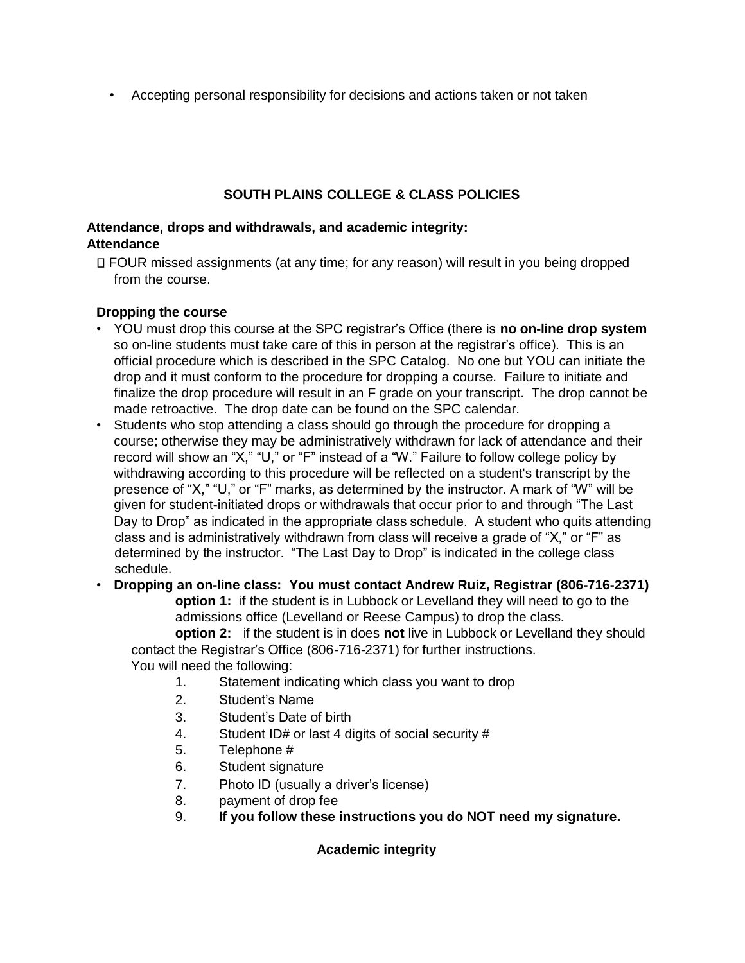• Accepting personal responsibility for decisions and actions taken or not taken

# **SOUTH PLAINS COLLEGE & CLASS POLICIES**

### **Attendance, drops and withdrawals, and academic integrity: Attendance**

FOUR missed assignments (at any time; for any reason) will result in you being dropped from the course.

# **Dropping the course**

- YOU must drop this course at the SPC registrar's Office (there is **no on-line drop system** so on-line students must take care of this in person at the registrar's office). This is an official procedure which is described in the SPC Catalog. No one but YOU can initiate the drop and it must conform to the procedure for dropping a course. Failure to initiate and finalize the drop procedure will result in an F grade on your transcript. The drop cannot be made retroactive. The drop date can be found on the SPC calendar.
- Students who stop attending a class should go through the procedure for dropping a course; otherwise they may be administratively withdrawn for lack of attendance and their record will show an "X," "U," or "F" instead of a "W." Failure to follow college policy by withdrawing according to this procedure will be reflected on a student's transcript by the presence of "X," "U," or "F" marks, as determined by the instructor. A mark of "W" will be given for student-initiated drops or withdrawals that occur prior to and through "The Last Day to Drop" as indicated in the appropriate class schedule. A student who quits attending class and is administratively withdrawn from class will receive a grade of "X," or "F" as determined by the instructor. "The Last Day to Drop" is indicated in the college class schedule.
- **Dropping an on-line class: You must contact Andrew Ruiz, Registrar (806-716-2371) option 1:** if the student is in Lubbock or Levelland they will need to go to the admissions office (Levelland or Reese Campus) to drop the class.

**option 2:** if the student is in does **not** live in Lubbock or Levelland they should contact the Registrar's Office (806-716-2371) for further instructions. You will need the following:

- 1. Statement indicating which class you want to drop
- 2. Student's Name
- 3. Student's Date of birth
- 4. Student ID# or last 4 digits of social security #
- 5. Telephone #
- 6. Student signature
- 7. Photo ID (usually a driver's license)
- 8. payment of drop fee
- 9. **If you follow these instructions you do NOT need my signature.**

# **Academic integrity**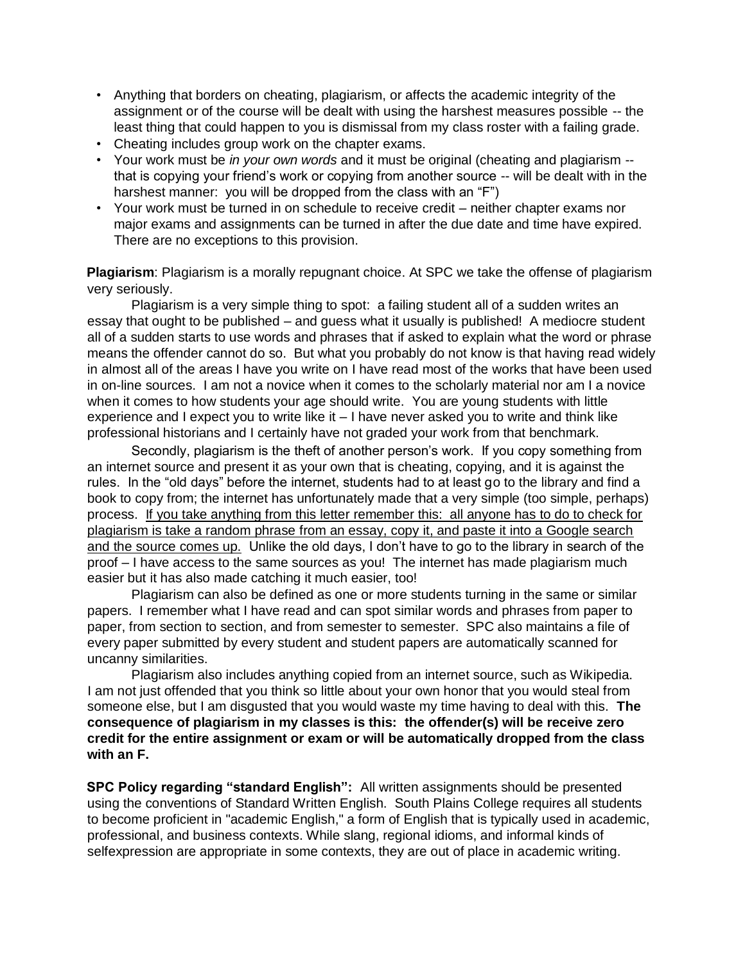- Anything that borders on cheating, plagiarism, or affects the academic integrity of the assignment or of the course will be dealt with using the harshest measures possible -- the least thing that could happen to you is dismissal from my class roster with a failing grade.
- Cheating includes group work on the chapter exams.
- Your work must be *in your own words* and it must be original (cheating and plagiarism that is copying your friend's work or copying from another source -- will be dealt with in the harshest manner: you will be dropped from the class with an "F")
- Your work must be turned in on schedule to receive credit neither chapter exams nor major exams and assignments can be turned in after the due date and time have expired. There are no exceptions to this provision.

**Plagiarism**: Plagiarism is a morally repugnant choice. At SPC we take the offense of plagiarism very seriously.

Plagiarism is a very simple thing to spot: a failing student all of a sudden writes an essay that ought to be published – and guess what it usually is published! A mediocre student all of a sudden starts to use words and phrases that if asked to explain what the word or phrase means the offender cannot do so. But what you probably do not know is that having read widely in almost all of the areas I have you write on I have read most of the works that have been used in on-line sources. I am not a novice when it comes to the scholarly material nor am I a novice when it comes to how students your age should write. You are young students with little experience and I expect you to write like it – I have never asked you to write and think like professional historians and I certainly have not graded your work from that benchmark.

Secondly, plagiarism is the theft of another person's work. If you copy something from an internet source and present it as your own that is cheating, copying, and it is against the rules. In the "old days" before the internet, students had to at least go to the library and find a book to copy from; the internet has unfortunately made that a very simple (too simple, perhaps) process. If you take anything from this letter remember this: all anyone has to do to check for plagiarism is take a random phrase from an essay, copy it, and paste it into a Google search and the source comes up. Unlike the old days, I don't have to go to the library in search of the proof – I have access to the same sources as you! The internet has made plagiarism much easier but it has also made catching it much easier, too!

Plagiarism can also be defined as one or more students turning in the same or similar papers. I remember what I have read and can spot similar words and phrases from paper to paper, from section to section, and from semester to semester. SPC also maintains a file of every paper submitted by every student and student papers are automatically scanned for uncanny similarities.

Plagiarism also includes anything copied from an internet source, such as Wikipedia. I am not just offended that you think so little about your own honor that you would steal from someone else, but I am disgusted that you would waste my time having to deal with this. **The consequence of plagiarism in my classes is this: the offender(s) will be receive zero credit for the entire assignment or exam or will be automatically dropped from the class with an F.**

**SPC Policy regarding "standard English":** All written assignments should be presented using the conventions of Standard Written English. South Plains College requires all students to become proficient in "academic English," a form of English that is typically used in academic, professional, and business contexts. While slang, regional idioms, and informal kinds of selfexpression are appropriate in some contexts, they are out of place in academic writing.